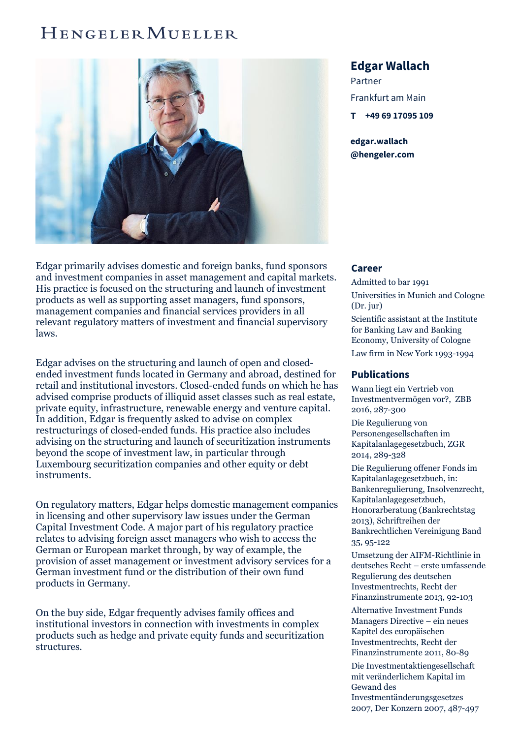## HENGELER MUELLER



Edgar primarily advises domestic and foreign banks, fund sponsors and investment companies in asset management and capital markets. His practice is focused on the structuring and launch of investment products as well as supporting asset managers, fund sponsors, management companies and financial services providers in all relevant regulatory matters of investment and financial supervisory laws.

Edgar advises on the structuring and launch of open and closedended investment funds located in Germany and abroad, destined for retail and institutional investors. Closed-ended funds on which he has advised comprise products of illiquid asset classes such as real estate, private equity, infrastructure, renewable energy and venture capital. In addition, Edgar is frequently asked to advise on complex restructurings of closed-ended funds. His practice also includes advising on the structuring and launch of securitization instruments beyond the scope of investment law, in particular through Luxembourg securitization companies and other equity or debt instruments.

On regulatory matters, Edgar helps domestic management companies in licensing and other supervisory law issues under the German Capital Investment Code. A major part of his regulatory practice relates to advising foreign asset managers who wish to access the German or European market through, by way of example, the provision of asset management or investment advisory services for a German investment fund or the distribution of their own fund products in Germany.

On the buy side, Edgar frequently advises family offices and institutional investors in connection with investments in complex products such as hedge and private equity funds and securitization structures.

## **Edgar Wallach**

Partner Frankfurt am Main **T +49 69 [17095](tel:+496917095109) 109**

**edgar.wallach [@hengeler.com](mailto:edgar.wallach@hengeler.com)**

## **Career**

Admitted to bar 1991 Universities in Munich and Cologne (Dr. jur) Scientific assistant at the Institute for Banking Law and Banking Economy, University of Cologne

Law firm in New York 1993-1994

## **Publications**

Wann liegt ein Vertrieb von Investmentvermögen vor?, ZBB 2016, 287-300

Die Regulierung von Personengesellschaften im Kapitalanlagegesetzbuch, ZGR 2014, 289-328

Die Regulierung offener Fonds im Kapitalanlagegesetzbuch, in: Bankenregulierung, Insolvenzrecht, Kapitalanlagegesetzbuch, Honorarberatung (Bankrechtstag 2013), Schriftreihen der Bankrechtlichen Vereinigung Band 35, 95-122

Umsetzung der AIFM-Richtlinie in deutsches Recht – erste umfassende Regulierung des deutschen Investmentrechts, Recht der Finanzinstrumente 2013, 92-103

Alternative Investment Funds Managers Directive – ein neues Kapitel des europäischen Investmentrechts, Recht der Finanzinstrumente 2011, 80-89

Die Investmentaktiengesellschaft mit veränderlichem Kapital im Gewand des

Investmentänderungsgesetzes 2007, Der Konzern 2007, 487-497